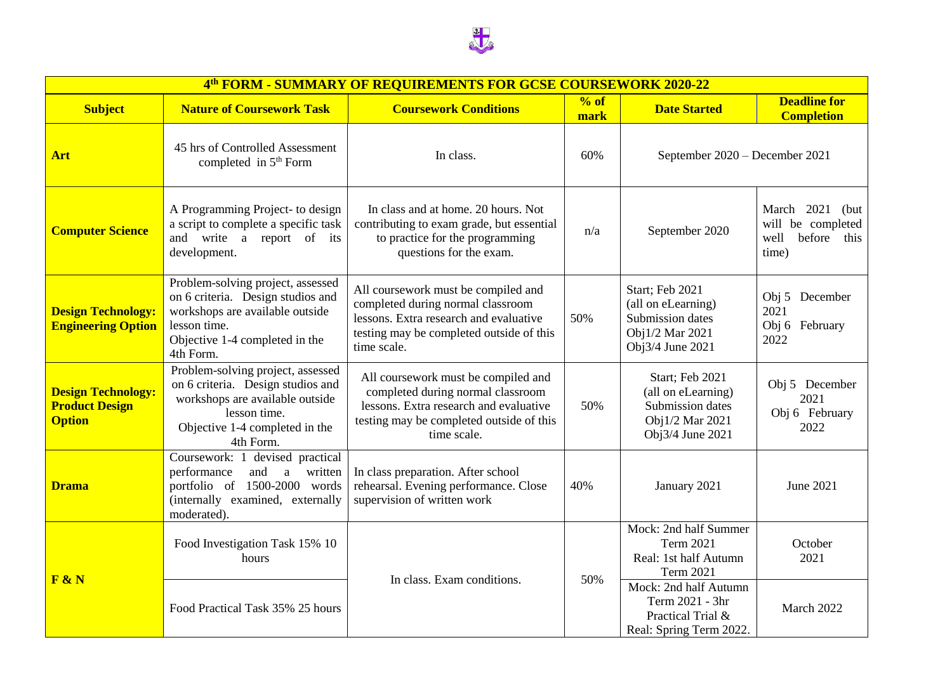

| 4th FORM - SUMMARY OF REQUIREMENTS FOR GCSE COURSEWORK 2020-22      |                                                                                                                                                                          |                                                                                                                                                                               |              |                                                                                                  |                                                                             |  |  |  |
|---------------------------------------------------------------------|--------------------------------------------------------------------------------------------------------------------------------------------------------------------------|-------------------------------------------------------------------------------------------------------------------------------------------------------------------------------|--------------|--------------------------------------------------------------------------------------------------|-----------------------------------------------------------------------------|--|--|--|
| <b>Subject</b>                                                      | <b>Nature of Coursework Task</b>                                                                                                                                         | <b>Coursework Conditions</b>                                                                                                                                                  | % of<br>mark | <b>Date Started</b>                                                                              | <b>Deadline for</b><br><b>Completion</b>                                    |  |  |  |
| Art                                                                 | 45 hrs of Controlled Assessment<br>completed in 5 <sup>th</sup> Form                                                                                                     | In class.                                                                                                                                                                     | 60%          | September 2020 – December 2021                                                                   |                                                                             |  |  |  |
| <b>Computer Science</b>                                             | A Programming Project- to design<br>a script to complete a specific task<br>and write a report of its<br>development.                                                    | In class and at home. 20 hours. Not<br>contributing to exam grade, but essential<br>to practice for the programming<br>questions for the exam.                                | n/a          | September 2020                                                                                   | March 2021<br>(but)<br>will be completed<br>well<br>before<br>this<br>time) |  |  |  |
| <b>Design Technology:</b><br><b>Engineering Option</b>              | Problem-solving project, assessed<br>on 6 criteria. Design studios and<br>workshops are available outside<br>lesson time.<br>Objective 1-4 completed in the<br>4th Form. | All coursework must be compiled and<br>completed during normal classroom<br>lessons. Extra research and evaluative<br>testing may be completed outside of this<br>time scale. | 50%          | Start; Feb 2021<br>(all on eLearning)<br>Submission dates<br>Obj1/2 Mar 2021<br>Obj3/4 June 2021 | Obj 5 December<br>2021<br>Obj 6 February<br>2022                            |  |  |  |
| <b>Design Technology:</b><br><b>Product Design</b><br><b>Option</b> | Problem-solving project, assessed<br>on 6 criteria. Design studios and<br>workshops are available outside<br>lesson time.<br>Objective 1-4 completed in the<br>4th Form. | All coursework must be compiled and<br>completed during normal classroom<br>lessons. Extra research and evaluative<br>testing may be completed outside of this<br>time scale. | 50%          | Start; Feb 2021<br>(all on eLearning)<br>Submission dates<br>Obj1/2 Mar 2021<br>Obj3/4 June 2021 | Obj 5 December<br>2021<br>Obj 6 February<br>2022                            |  |  |  |
| <b>Drama</b>                                                        | Coursework: 1 devised practical<br>performance<br>and<br>a written<br>portfolio of 1500-2000 words<br>(internally examined, externally<br>moderated).                    | In class preparation. After school<br>rehearsal. Evening performance. Close<br>supervision of written work                                                                    | 40%          | January 2021                                                                                     | June 2021                                                                   |  |  |  |
| F & N                                                               | Food Investigation Task 15% 10<br>hours                                                                                                                                  | In class. Exam conditions.                                                                                                                                                    | 50%          | Mock: 2nd half Summer<br><b>Term 2021</b><br>Real: 1st half Autumn<br><b>Term 2021</b>           | October<br>2021                                                             |  |  |  |
|                                                                     | Food Practical Task 35% 25 hours                                                                                                                                         |                                                                                                                                                                               |              | Mock: 2nd half Autumn<br>Term 2021 - 3hr<br>Practical Trial &<br>Real: Spring Term 2022.         | March 2022                                                                  |  |  |  |